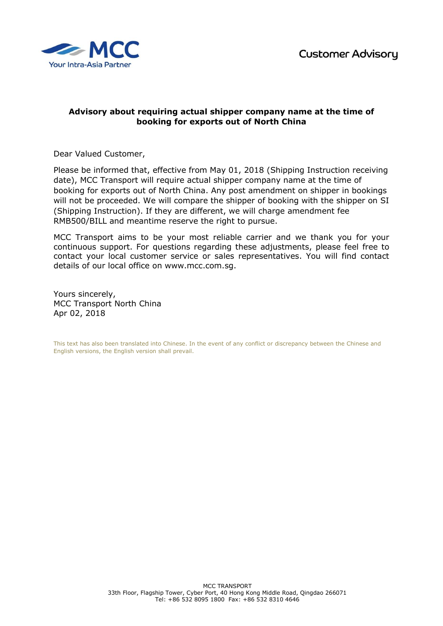

## **Advisory about requiring actual shipper company name at the time of booking for exports out of North China**

Dear Valued Customer,

Please be informed that, effective from May 01, 2018 (Shipping Instruction receiving date), MCC Transport will require actual shipper company name at the time of booking for exports out of North China. Any post amendment on shipper in bookings will not be proceeded. We will compare the shipper of booking with the shipper on SI (Shipping Instruction). If they are different, we will charge amendment fee RMB500/BILL and meantime reserve the right to pursue.

MCC Transport aims to be your most reliable carrier and we thank you for your continuous support. For questions regarding these adjustments, please feel free to contact your local customer service or sales representatives. You will find contact details of our local office on www.mcc.com.sg.

Yours sincerely, MCC Transport North China Apr 02, 2018

This text has also been translated into Chinese. In the event of any conflict or discrepancy between the Chinese and English versions, the English version shall prevail.